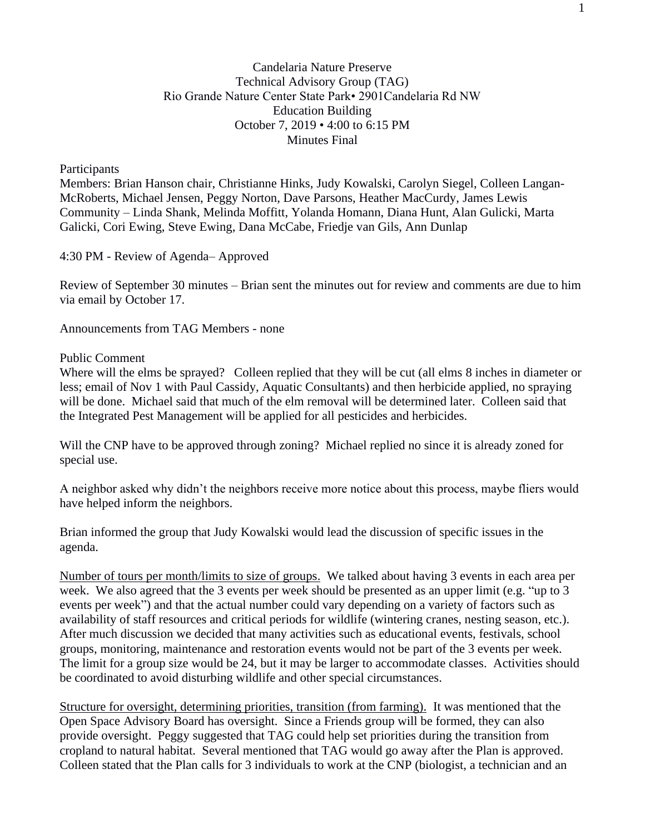## Candelaria Nature Preserve Technical Advisory Group (TAG) Rio Grande Nature Center State Park• 2901Candelaria Rd NW Education Building October 7, 2019 • 4:00 to 6:15 PM Minutes Final

**Participants** 

Members: Brian Hanson chair, Christianne Hinks, Judy Kowalski, Carolyn Siegel, Colleen Langan-McRoberts, Michael Jensen, Peggy Norton, Dave Parsons, Heather MacCurdy, James Lewis Community – Linda Shank, Melinda Moffitt, Yolanda Homann, Diana Hunt, Alan Gulicki, Marta Galicki, Cori Ewing, Steve Ewing, Dana McCabe, Friedje van Gils, Ann Dunlap

4:30 PM - Review of Agenda– Approved

Review of September 30 minutes – Brian sent the minutes out for review and comments are due to him via email by October 17.

Announcements from TAG Members - none

## Public Comment

Where will the elms be sprayed? Colleen replied that they will be cut (all elms 8 inches in diameter or less; email of Nov 1 with Paul Cassidy, Aquatic Consultants) and then herbicide applied, no spraying will be done. Michael said that much of the elm removal will be determined later. Colleen said that the Integrated Pest Management will be applied for all pesticides and herbicides.

Will the CNP have to be approved through zoning? Michael replied no since it is already zoned for special use.

A neighbor asked why didn't the neighbors receive more notice about this process, maybe fliers would have helped inform the neighbors.

Brian informed the group that Judy Kowalski would lead the discussion of specific issues in the agenda.

Number of tours per month/limits to size of groups. We talked about having 3 events in each area per week. We also agreed that the 3 events per week should be presented as an upper limit (e.g. "up to 3 events per week") and that the actual number could vary depending on a variety of factors such as availability of staff resources and critical periods for wildlife (wintering cranes, nesting season, etc.). After much discussion we decided that many activities such as educational events, festivals, school groups, monitoring, maintenance and restoration events would not be part of the 3 events per week. The limit for a group size would be 24, but it may be larger to accommodate classes. Activities should be coordinated to avoid disturbing wildlife and other special circumstances.

Structure for oversight, determining priorities, transition (from farming). It was mentioned that the Open Space Advisory Board has oversight. Since a Friends group will be formed, they can also provide oversight. Peggy suggested that TAG could help set priorities during the transition from cropland to natural habitat. Several mentioned that TAG would go away after the Plan is approved. Colleen stated that the Plan calls for 3 individuals to work at the CNP (biologist, a technician and an